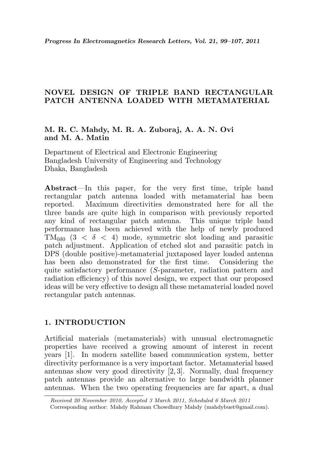## NOVEL DESIGN OF TRIPLE BAND RECTANGULAR PATCH ANTENNA LOADED WITH METAMATERIAL

### M. R. C. Mahdy, M. R. A. Zuboraj, A. A. N. Ovi and M. A. Matin

Department of Electrical and Electronic Engineering Bangladesh University of Engineering and Technology Dhaka, Bangladesh

Abstract—In this paper, for the very first time, triple band rectangular patch antenna loaded with metamaterial has been reported. Maximum directivities demonstrated here for all the three bands are quite high in comparison with previously reported any kind of rectangular patch antenna. This unique triple band performance has been achieved with the help of newly produced TM<sub>0δ0</sub>  $(3 < \delta < 4)$  mode, symmetric slot loading and parasitic patch adjustment. Application of etched slot and parasitic patch in DPS (double positive)-metamaterial juxtaposed layer loaded antenna has been also demonstrated for the first time. Considering the quite satisfactory performance (S-parameter, radiation pattern and radiation efficiency) of this novel design, we expect that our proposed ideas will be very effective to design all these metamaterial loaded novel rectangular patch antennas.

#### 1. INTRODUCTION

Artificial materials (metamaterials) with unusual electromagnetic properties have received a growing amount of interest in recent years [1]. In modern satellite based communication system, better directivity performance is a very important factor. Metamaterial based antennas show very good directivity [2, 3]. Normally, dual frequency patch antennas provide an alternative to large bandwidth planner antennas. When the two operating frequencies are far apart, a dual

Received 20 November 2010, Accepted 3 March 2011, Scheduled 6 March 2011

Corresponding author: Mahdy Rahman Chowdhury Mahdy (mahdybuet@gmail.com).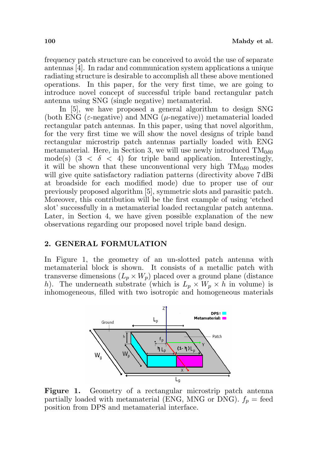frequency patch structure can be conceived to avoid the use of separate antennas [4]. In radar and communication system applications a unique radiating structure is desirable to accomplish all these above mentioned operations. In this paper, for the very first time, we are going to introduce novel concept of successful triple band rectangular patch antenna using SNG (single negative) metamaterial.

In [5], we have proposed a general algorithm to design SNG (both ENG ( $\varepsilon$ -negative) and MNG ( $\mu$ -negative)) metamaterial loaded rectangular patch antennas. In this paper, using that novel algorithm, for the very first time we will show the novel designs of triple band rectangular microstrip patch antennas partially loaded with ENG metamaterial. Here, in Section 3, we will use newly introduced  $TM_{0\delta0}$ mode(s)  $(3 < \delta < 4)$  for triple band application. Interestingly, it will be shown that these unconventional very high  $TM_{0\delta0}$  modes will give quite satisfactory radiation patterns (directivity above 7 dBi at broadside for each modified mode) due to proper use of our previously proposed algorithm [5], symmetric slots and parasitic patch. Moreover, this contribution will be the first example of using 'etched slot' successfully in a metamaterial loaded rectangular patch antenna. Later, in Section 4, we have given possible explanation of the new observations regarding our proposed novel triple band design.

#### 2. GENERAL FORMULATION

In Figure 1, the geometry of an un-slotted patch antenna with metamaterial block is shown. It consists of a metallic patch with transverse dimensions  $(L_p \times W_p)$  placed over a ground plane (distance h). The underneath substrate (which is  $L_p \times W_p \times h$  in volume) is inhomogeneous, filled with two isotropic and homogeneous materials



Figure 1. Geometry of a rectangular microstrip patch antenna partially loaded with metamaterial (ENG, MNG or DNG).  $f_p = \text{feed}$ position from DPS and metamaterial interface.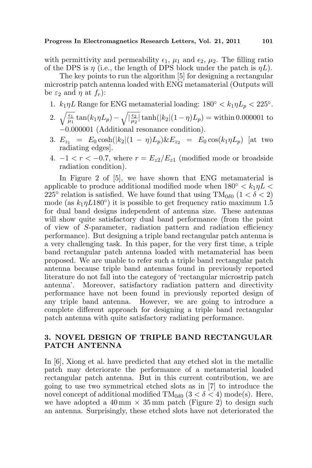with permittivity and permeability  $\epsilon_1$ ,  $\mu_1$  and  $\epsilon_2$ ,  $\mu_2$ . The filling ratio of the DPS is  $\eta$  (i.e., the length of DPS block under the patch is  $\eta L$ ).

The key points to run the algorithm [5] for designing a rectangular microstrip patch antenna loaded with ENG metamaterial (Outputs will be  $\varepsilon_2$  and  $\eta$  at  $f_r$ ):

- 1.  $k_1 \eta L$  Range for ENG metamaterial loading:  $180^\circ < k_1 \eta L_p < 225^\circ$ .  $\overline{a}$
- 2.  $\sqrt{\frac{\epsilon_1}{\mu_1}}\tan(k_1\eta L_p)$   $\frac{\epsilon_2}{\mu_2}$  $\frac{\epsilon_2}{\mu_2}$  tanh(|k<sub>2</sub>|(1 –  $\eta$ ) $L_p$ ) = within 0.000001 to −0.000001 (Additional resonance condition).
- 3.  $E_{z_1} = E_0 \cosh(|k_2|(1 \eta)L_p) \& E_{z_2} = E_0 \cos(k_1 \eta L_p)$  [at two radiating edges].
- 4.  $-1 < r < -0.7$ , where  $r = E_{z2}/E_{z1}$  (modified mode or broadside radiation condition).

In Figure 2 of [5], we have shown that ENG metamaterial is applicable to produce additional modified mode when  $180° < k_1 \eta L <$  $225^{\circ}$  relation is satisfied. We have found that using TM<sub>0δ0</sub> (1 <  $\delta$  < 2) mode (as  $k_1 \eta L 180^\circ$ ) it is possible to get frequency ratio maximum 1.5 for dual band designs independent of antenna size. These antennas will show quite satisfactory dual band performance (from the point of view of S-parameter, radiation pattern and radiation efficiency performance). But designing a triple band rectangular patch antenna is a very challenging task. In this paper, for the very first time, a triple band rectangular patch antenna loaded with metamaterial has been proposed. We are unable to refer such a triple band rectangular patch antenna because triple band antennas found in previously reported literature do not fall into the category of 'rectangular microstrip patch antenna'. Moreover, satisfactory radiation pattern and directivity performance have not been found in previously reported design of any triple band antenna. However, we are going to introduce a complete different approach for designing a triple band rectangular patch antenna with quite satisfactory radiating performance.

### 3. NOVEL DESIGN OF TRIPLE BAND RECTANGULAR PATCH ANTENNA

In [6], Xiong et al. have predicted that any etched slot in the metallic patch may deteriorate the performance of a metamaterial loaded rectangular patch antenna. But in this current contribution, we are going to use two symmetrical etched slots as in [7] to introduce the novel concept of additional modified  $TM_{0\delta0}$   $(3 < \delta < 4)$  mode(s). Here, we have adopted a  $40 \,\mathrm{mm} \times 35 \,\mathrm{mm}$  patch (Figure 2) to design such an antenna. Surprisingly, these etched slots have not deteriorated the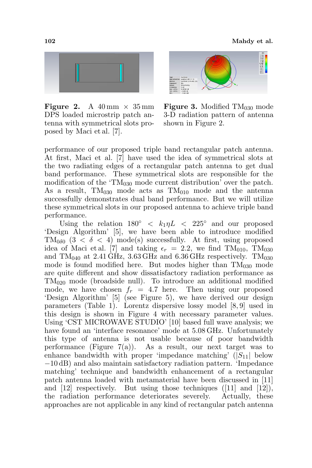

Figure 2. A  $40 \text{ mm} \times 35 \text{ mm}$ DPS loaded microstrip patch antenna with symmetrical slots proposed by Maci et al. [7].



**Figure 3.** Modified  $TM_{030}$  mode 3-D radiation pattern of antenna shown in Figure 2.

performance of our proposed triple band rectangular patch antenna. At first, Maci et al. [7] have used the idea of symmetrical slots at the two radiating edges of a rectangular patch antenna to get dual band performance. These symmetrical slots are responsible for the modification of the 'TM $_{030}$  mode current distribution' over the patch. As a result,  $TM_{030}$  mode acts as  $TM_{010}$  mode and the antenna successfully demonstrates dual band performance. But we will utilize these symmetrical slots in our proposed antenna to achieve triple band performance.

Using the relation  $180° < k_1 \eta L < 225°$  and our proposed 'Design Algorithm' [5], we have been able to introduce modified TM<sub>0</sub> $\delta$  (3 <  $\delta$  < 4) mode(s) successfully. At first, using proposed idea of Maci et al. [7] and taking  $\epsilon_r = 2.2$ , we find TM<sub>010</sub>, TM<sub>030</sub> and  $TM_{040}$  at 2.41 GHz, 3.63 GHz and 6.36 GHz respectively.  $TM_{030}$ mode is found modified here. But modes higher than  $TM_{030}$  mode are quite different and show dissatisfactory radiation performance as TM<sup>020</sup> mode (broadside null). To introduce an additional modified mode, we have chosen  $f_r = 4.7$  here. Then using our proposed 'Design Algorithm' [5] (see Figure 5), we have derived our design parameters (Table 1). Lorentz dispersive lossy model [8, 9] used in this design is shown in Figure 4 with necessary parameter values. Using 'CST MICROWAVE STUDIO' [10] based full wave analysis; we have found an 'interface resonance' mode at 5.08 GHz. Unfortunately this type of antenna is not usable because of poor bandwidth performance (Figure  $7(a)$ ). As a result, our next target was to enhance bandwidth with proper 'impedance matching'  $(|S_{11}|)$  below −10 dB) and also maintain satisfactory radiation pattern. 'Impedance matching' technique and bandwidth enhancement of a rectangular patch antenna loaded with metamaterial have been discussed in [11] and [12] respectively. But using those techniques ([11] and [12]), the radiation performance deteriorates severely. Actually, these approaches are not applicable in any kind of rectangular patch antenna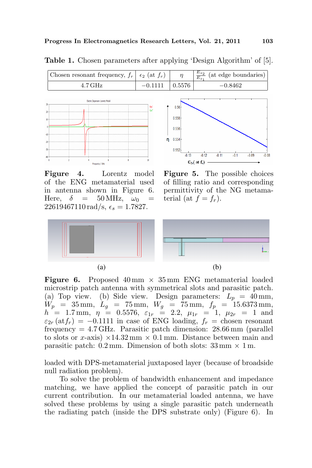Table 1. Chosen parameters after applying 'Design Algorithm' of [5].

| Chosen resonant frequency, $f_r   \epsilon_2$ (at $f_r$ ) |           |         | $\left  \frac{E_{z_2}}{E_{z_1}} \right $ (at edge boundaries) |
|-----------------------------------------------------------|-----------|---------|---------------------------------------------------------------|
| 4 7 GHz                                                   | $-0.1111$ | 10.5576 | $-0.8462$                                                     |





Figure 4. Lorentz model of the ENG metamaterial used in antenna shown in Figure 6. Here,  $\delta = 50 \text{ MHz}, \omega_0 =$  $22619467110 \,\text{rad/s}, \,\epsilon_s = 1.7827.$ 

Figure 5. The possible choices of filling ratio and corresponding permittivity of the NG metamaterial (at  $f = f_r$ ).



**Figure 6.** Proposed  $40 \text{ mm} \times 35 \text{ mm}$  ENG metamaterial loaded microstrip patch antenna with symmetrical slots and parasitic patch. (a) Top view. (b) Side view. Design parameters:  $L_p = 40 \text{ mm}$ ,  $W_p = 35 \,\text{mm}, L_q = 75 \,\text{mm}, W_q = 75 \,\text{mm}, f_p = 15.6373 \,\text{mm},$  $h = 1.7$  mm,  $\eta = 0.5576$ ,  $\varepsilon_{1r} = 2.2$ ,  $\mu_{1r} = 1$ ,  $\mu_{2r} = 1$  and  $\varepsilon_{2r}(\text{at}f_r) = -0.1111$  in case of ENG loading,  $f_r = \text{chosen resonant}$ frequency  $= 4.7$  GHz. Parasitic patch dimension:  $28.66$  mm (parallel to slots or x-axis)  $\times$ 14.32 mm  $\times$  0.1 mm. Distance between main and parasitic patch: 0.2 mm. Dimension of both slots:  $33 \text{ mm} \times 1 \text{ m}$ .

loaded with DPS-metamaterial juxtaposed layer (because of broadside null radiation problem).

To solve the problem of bandwidth enhancement and impedance matching, we have applied the concept of parasitic patch in our current contribution. In our metamaterial loaded antenna, we have solved these problems by using a single parasitic patch underneath the radiating patch (inside the DPS substrate only) (Figure 6). In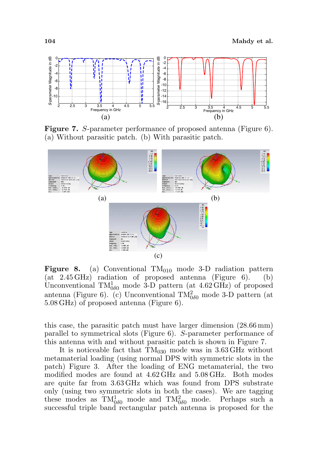

Figure 7. S-parameter performance of proposed antenna (Figure 6). (a) Without parasitic patch. (b) With parasitic patch.



**Figure 8.** (a) Conventional  $TM_{010}$  mode 3-D radiation pattern (at 2.45 GHz) radiation of proposed antenna (Figure 6). (b) Unconventional  $TM_{0\delta0}^1$  mode 3-D pattern (at 4.62 GHz) of proposed antenna (Figure 6). (c) Unconventional  $\text{T}M_{0\delta0}^2$  mode 3-D pattern (at 5.08 GHz) of proposed antenna (Figure 6).

this case, the parasitic patch must have larger dimension (28.66 mm) parallel to symmetrical slots (Figure 6). S-parameter performance of this antenna with and without parasitic patch is shown in Figure 7.

It is noticeable fact that  $TM_{030}$  mode was in 3.63 GHz without metamaterial loading (using normal DPS with symmetric slots in the patch) Figure 3. After the loading of ENG metamaterial, the two modified modes are found at 4.62 GHz and 5.08 GHz. Both modes are quite far from 3.63 GHz which was found from DPS substrate only (using two symmetric slots in both the cases). We are tagging these modes as  $TM_{0\delta0}^1$  mode and  $TM_{0\delta0}^2$  mode. Perhaps such a successful triple band rectangular patch antenna is proposed for the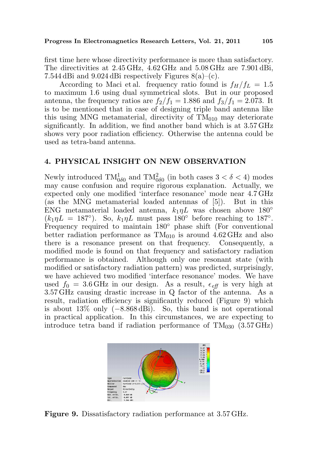first time here whose directivity performance is more than satisfactory. The directivities at 2.45 GHz, 4.62 GHz and 5.08 GHz are 7.901 dBi, 7.544 dBi and 9.024 dBi respectively Figures  $8(a)$ –(c).

According to Maci et al. frequency ratio found is  $f_H/f_L = 1.5$ to maximum 1.6 using dual symmetrical slots. But in our proposed antenna, the frequency ratios are  $f_2/f_1 = 1.886$  and  $f_3/f_1 = 2.073$ . It is to be mentioned that in case of designing triple band antenna like this using MNG metamaterial, directivity of  $TM<sub>010</sub>$  may deteriorate significantly. In addition, we find another band which is at 3.57 GHz shows very poor radiation efficiency. Otherwise the antenna could be used as tetra-band antenna.

#### 4. PHYSICAL INSIGHT ON NEW OBSERVATION

Newly introduced  $\text{TM}_{0\delta0}^1$  and  $\text{TM}_{0\delta0}^2$  (in both cases  $3 < \delta < 4$ ) modes may cause confusion and require rigorous explanation. Actually, we expected only one modified 'interface resonance' mode near 4.7 GHz (as the MNG metamaterial loaded antennas of [5]). But in this ENG metamaterial loaded antenna,  $k_1 \eta L$  was chosen above 180<sup>°</sup>  $(k_1 \eta L = 187^\circ)$ . So,  $k_1 \eta L$  must pass  $180^\circ$  before reaching to 187°. Frequency required to maintain 180◦ phase shift (For conventional better radiation performance as  $TM_{010}$  is around 4.62 GHz and also there is a resonance present on that frequency. Consequently, a modified mode is found on that frequency and satisfactory radiation performance is obtained. Although only one resonant state (with modified or satisfactory radiation pattern) was predicted, surprisingly, we have achieved two modified 'interface resonance' modes. We have used  $f_0 = 3.6$  GHz in our design. As a result,  $\epsilon_{\text{eff}}$  is very high at 3.57 GHz causing drastic increase in Q factor of the antenna. As a result, radiation efficiency is significantly reduced (Figure 9) which is about 13% only (−8.868 dBi). So, this band is not operational in practical application. In this circumstances, we are expecting to introduce tetra band if radiation performance of  $TM_{030}$  (3.57 GHz)



Figure 9. Dissatisfactory radiation performance at 3.57 GHz.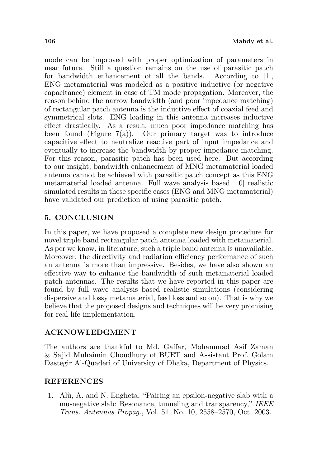mode can be improved with proper optimization of parameters in near future. Still a question remains on the use of parasitic patch for bandwidth enhancement of all the bands. According to [1], ENG metamaterial was modeled as a positive inductive (or negative capacitance) element in case of TM mode propagation. Moreover, the reason behind the narrow bandwidth (and poor impedance matching) of rectangular patch antenna is the inductive effect of coaxial feed and symmetrical slots. ENG loading in this antenna increases inductive effect drastically. As a result, much poor impedance matching has been found (Figure  $7(a)$ ). Our primary target was to introduce capacitive effect to neutralize reactive part of input impedance and eventually to increase the bandwidth by proper impedance matching. For this reason, parasitic patch has been used here. But according to our insight, bandwidth enhancement of MNG metamaterial loaded antenna cannot be achieved with parasitic patch concept as this ENG metamaterial loaded antenna. Full wave analysis based [10] realistic simulated results in these specific cases (ENG and MNG metamaterial) have validated our prediction of using parasitic patch.

# 5. CONCLUSION

In this paper, we have proposed a complete new design procedure for novel triple band rectangular patch antenna loaded with metamaterial. As per we know, in literature, such a triple band antenna is unavailable. Moreover, the directivity and radiation efficiency performance of such an antenna is more than impressive. Besides, we have also shown an effective way to enhance the bandwidth of such metamaterial loaded patch antennas. The results that we have reported in this paper are found by full wave analysis based realistic simulations (considering dispersive and lossy metamaterial, feed loss and so on). That is why we believe that the proposed designs and techniques will be very promising for real life implementation.

## ACKNOWLEDGMENT

The authors are thankful to Md. Gaffar, Mohammad Asif Zaman & Sajid Muhaimin Choudhury of BUET and Assistant Prof. Golam Dastegir Al-Quaderi of University of Dhaka, Department of Physics.

#### REFERENCES

1. Alù, A. and N. Engheta, "Pairing an epsilon-negative slab with a mu-negative slab: Resonance, tunneling and transparency," IEEE Trans. Antennas Propag., Vol. 51, No. 10, 2558–2570, Oct. 2003.